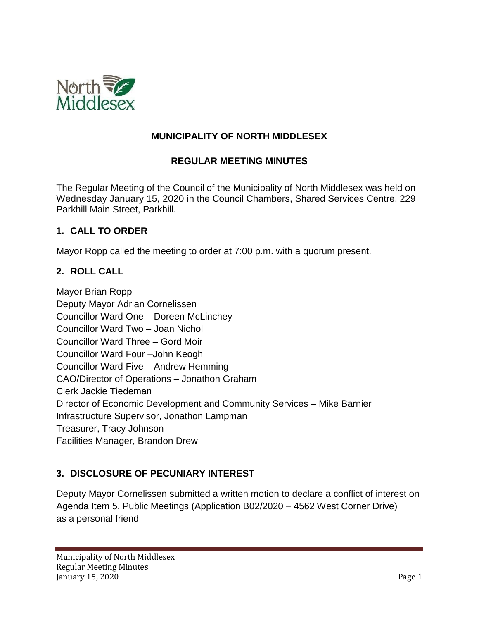

### **MUNICIPALITY OF NORTH MIDDLESEX**

### **REGULAR MEETING MINUTES**

The Regular Meeting of the Council of the Municipality of North Middlesex was held on Wednesday January 15, 2020 in the Council Chambers, Shared Services Centre, 229 Parkhill Main Street, Parkhill.

#### **1. CALL TO ORDER**

Mayor Ropp called the meeting to order at 7:00 p.m. with a quorum present.

### **2. ROLL CALL**

Mayor Brian Ropp Deputy Mayor Adrian Cornelissen Councillor Ward One – Doreen McLinchey Councillor Ward Two – Joan Nichol Councillor Ward Three – Gord Moir Councillor Ward Four –John Keogh Councillor Ward Five – Andrew Hemming CAO/Director of Operations – Jonathon Graham Clerk Jackie Tiedeman Director of Economic Development and Community Services – Mike Barnier Infrastructure Supervisor, Jonathon Lampman Treasurer, Tracy Johnson Facilities Manager, Brandon Drew

# **3. DISCLOSURE OF PECUNIARY INTEREST**

Deputy Mayor Cornelissen submitted a written motion to declare a conflict of interest on Agenda Item 5. Public Meetings (Application B02/2020 – 4562 West Corner Drive) as a personal friend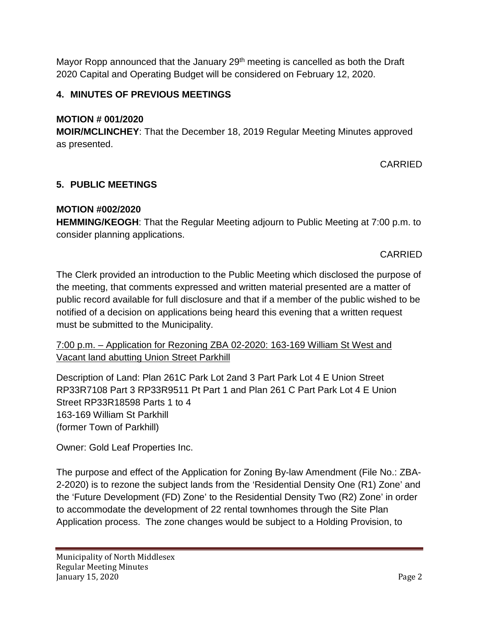Mayor Ropp announced that the January 29<sup>th</sup> meeting is cancelled as both the Draft 2020 Capital and Operating Budget will be considered on February 12, 2020.

# **4. MINUTES OF PREVIOUS MEETINGS**

## **MOTION # 001/2020**

**MOIR/MCLINCHEY**: That the December 18, 2019 Regular Meeting Minutes approved as presented.

# CARRIED

# **5. PUBLIC MEETINGS**

## **MOTION #002/2020**

**HEMMING/KEOGH**: That the Regular Meeting adjourn to Public Meeting at 7:00 p.m. to consider planning applications.

CARRIED

The Clerk provided an introduction to the Public Meeting which disclosed the purpose of the meeting, that comments expressed and written material presented are a matter of public record available for full disclosure and that if a member of the public wished to be notified of a decision on applications being heard this evening that a written request must be submitted to the Municipality.

# 7:00 p.m. – Application for Rezoning ZBA 02-2020: 163-169 William St West and Vacant land abutting Union Street Parkhill

Description of Land: Plan 261C Park Lot 2and 3 Part Park Lot 4 E Union Street RP33R7108 Part 3 RP33R9511 Pt Part 1 and Plan 261 C Part Park Lot 4 E Union Street RP33R18598 Parts 1 to 4 163-169 William St Parkhill (former Town of Parkhill)

Owner: Gold Leaf Properties Inc.

The purpose and effect of the Application for Zoning By-law Amendment (File No.: ZBA-2-2020) is to rezone the subject lands from the 'Residential Density One (R1) Zone' and the 'Future Development (FD) Zone' to the Residential Density Two (R2) Zone' in order to accommodate the development of 22 rental townhomes through the Site Plan Application process. The zone changes would be subject to a Holding Provision, to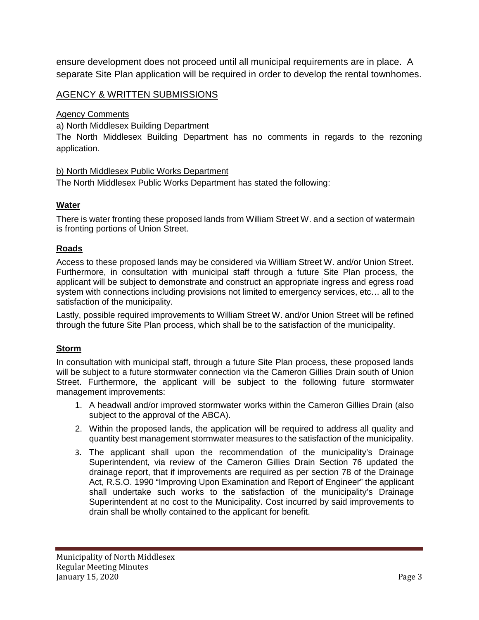ensure development does not proceed until all municipal requirements are in place. A separate Site Plan application will be required in order to develop the rental townhomes.

### AGENCY & WRITTEN SUBMISSIONS

Agency Comments

#### a) North Middlesex Building Department

The North Middlesex Building Department has no comments in regards to the rezoning application.

#### b) North Middlesex Public Works Department

The North Middlesex Public Works Department has stated the following:

#### **Water**

There is water fronting these proposed lands from William Street W. and a section of watermain is fronting portions of Union Street.

#### **Roads**

Access to these proposed lands may be considered via William Street W. and/or Union Street. Furthermore, in consultation with municipal staff through a future Site Plan process, the applicant will be subject to demonstrate and construct an appropriate ingress and egress road system with connections including provisions not limited to emergency services, etc… all to the satisfaction of the municipality.

Lastly, possible required improvements to William Street W. and/or Union Street will be refined through the future Site Plan process, which shall be to the satisfaction of the municipality.

#### **Storm**

In consultation with municipal staff, through a future Site Plan process, these proposed lands will be subject to a future stormwater connection via the Cameron Gillies Drain south of Union Street. Furthermore, the applicant will be subject to the following future stormwater management improvements:

- 1. A headwall and/or improved stormwater works within the Cameron Gillies Drain (also subject to the approval of the ABCA).
- 2. Within the proposed lands, the application will be required to address all quality and quantity best management stormwater measures to the satisfaction of the municipality.
- 3. The applicant shall upon the recommendation of the municipality's Drainage Superintendent, via review of the Cameron Gillies Drain Section 76 updated the drainage report, that if improvements are required as per section 78 of the Drainage Act, R.S.O. 1990 "Improving Upon Examination and Report of Engineer" the applicant shall undertake such works to the satisfaction of the municipality's Drainage Superintendent at no cost to the Municipality. Cost incurred by said improvements to drain shall be wholly contained to the applicant for benefit.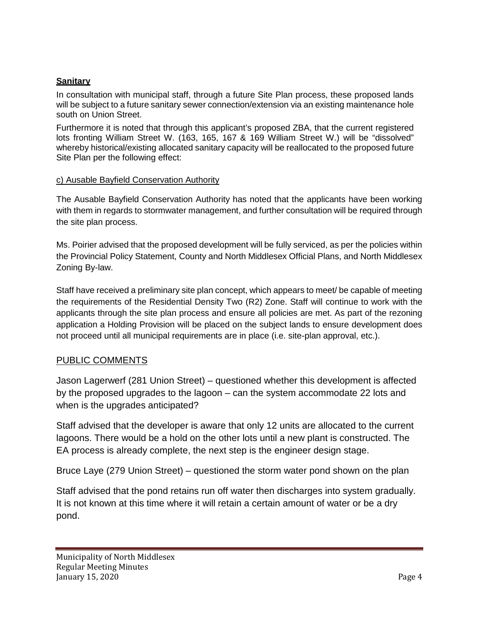#### **Sanitary**

In consultation with municipal staff, through a future Site Plan process, these proposed lands will be subject to a future sanitary sewer connection/extension via an existing maintenance hole south on Union Street.

Furthermore it is noted that through this applicant's proposed ZBA, that the current registered lots fronting William Street W. (163, 165, 167 & 169 William Street W.) will be "dissolved" whereby historical/existing allocated sanitary capacity will be reallocated to the proposed future Site Plan per the following effect:

#### c) Ausable Bayfield Conservation Authority

The Ausable Bayfield Conservation Authority has noted that the applicants have been working with them in regards to stormwater management, and further consultation will be required through the site plan process.

Ms. Poirier advised that the proposed development will be fully serviced, as per the policies within the Provincial Policy Statement, County and North Middlesex Official Plans, and North Middlesex Zoning By-law.

Staff have received a preliminary site plan concept, which appears to meet/ be capable of meeting the requirements of the Residential Density Two (R2) Zone. Staff will continue to work with the applicants through the site plan process and ensure all policies are met. As part of the rezoning application a Holding Provision will be placed on the subject lands to ensure development does not proceed until all municipal requirements are in place (i.e. site-plan approval, etc.).

#### PUBLIC COMMENTS

Jason Lagerwerf (281 Union Street) – questioned whether this development is affected by the proposed upgrades to the lagoon – can the system accommodate 22 lots and when is the upgrades anticipated?

Staff advised that the developer is aware that only 12 units are allocated to the current lagoons. There would be a hold on the other lots until a new plant is constructed. The EA process is already complete, the next step is the engineer design stage.

Bruce Laye (279 Union Street) – questioned the storm water pond shown on the plan

Staff advised that the pond retains run off water then discharges into system gradually. It is not known at this time where it will retain a certain amount of water or be a dry pond.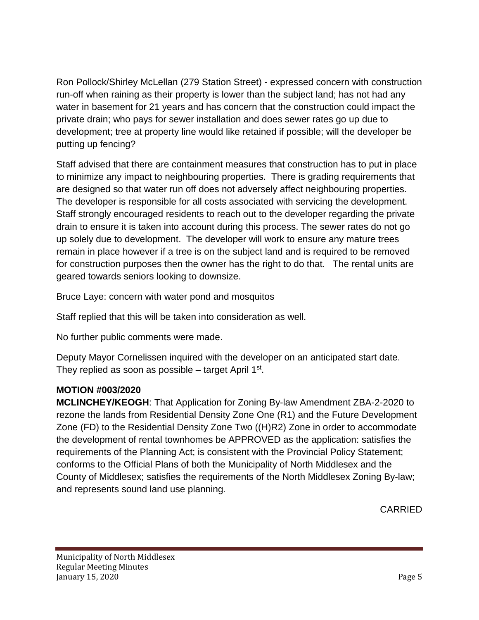Ron Pollock/Shirley McLellan (279 Station Street) - expressed concern with construction run-off when raining as their property is lower than the subject land; has not had any water in basement for 21 years and has concern that the construction could impact the private drain; who pays for sewer installation and does sewer rates go up due to development; tree at property line would like retained if possible; will the developer be putting up fencing?

Staff advised that there are containment measures that construction has to put in place to minimize any impact to neighbouring properties. There is grading requirements that are designed so that water run off does not adversely affect neighbouring properties. The developer is responsible for all costs associated with servicing the development. Staff strongly encouraged residents to reach out to the developer regarding the private drain to ensure it is taken into account during this process. The sewer rates do not go up solely due to development. The developer will work to ensure any mature trees remain in place however if a tree is on the subject land and is required to be removed for construction purposes then the owner has the right to do that. The rental units are geared towards seniors looking to downsize.

Bruce Laye: concern with water pond and mosquitos

Staff replied that this will be taken into consideration as well.

No further public comments were made.

Deputy Mayor Cornelissen inquired with the developer on an anticipated start date. They replied as soon as possible  $-$  target April 1<sup>st</sup>.

# **MOTION #003/2020**

**MCLINCHEY/KEOGH**: That Application for Zoning By-law Amendment ZBA-2-2020 to rezone the lands from Residential Density Zone One (R1) and the Future Development Zone (FD) to the Residential Density Zone Two ((H)R2) Zone in order to accommodate the development of rental townhomes be APPROVED as the application: satisfies the requirements of the Planning Act; is consistent with the Provincial Policy Statement; conforms to the Official Plans of both the Municipality of North Middlesex and the County of Middlesex; satisfies the requirements of the North Middlesex Zoning By-law; and represents sound land use planning.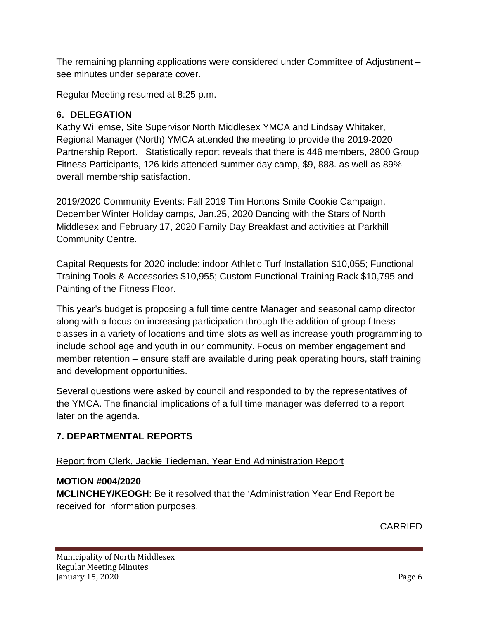The remaining planning applications were considered under Committee of Adjustment – see minutes under separate cover.

Regular Meeting resumed at 8:25 p.m.

# **6. DELEGATION**

Kathy Willemse, Site Supervisor North Middlesex YMCA and Lindsay Whitaker, Regional Manager (North) YMCA attended the meeting to provide the 2019-2020 Partnership Report. Statistically report reveals that there is 446 members, 2800 Group Fitness Participants, 126 kids attended summer day camp, \$9, 888. as well as 89% overall membership satisfaction.

2019/2020 Community Events: Fall 2019 Tim Hortons Smile Cookie Campaign, December Winter Holiday camps, Jan.25, 2020 Dancing with the Stars of North Middlesex and February 17, 2020 Family Day Breakfast and activities at Parkhill Community Centre.

Capital Requests for 2020 include: indoor Athletic Turf Installation \$10,055; Functional Training Tools & Accessories \$10,955; Custom Functional Training Rack \$10,795 and Painting of the Fitness Floor.

This year's budget is proposing a full time centre Manager and seasonal camp director along with a focus on increasing participation through the addition of group fitness classes in a variety of locations and time slots as well as increase youth programming to include school age and youth in our community. Focus on member engagement and member retention – ensure staff are available during peak operating hours, staff training and development opportunities.

Several questions were asked by council and responded to by the representatives of the YMCA. The financial implications of a full time manager was deferred to a report later on the agenda.

# **7. DEPARTMENTAL REPORTS**

# Report from Clerk, Jackie Tiedeman, Year End Administration Report

# **MOTION #004/2020**

**MCLINCHEY/KEOGH**: Be it resolved that the 'Administration Year End Report be received for information purposes.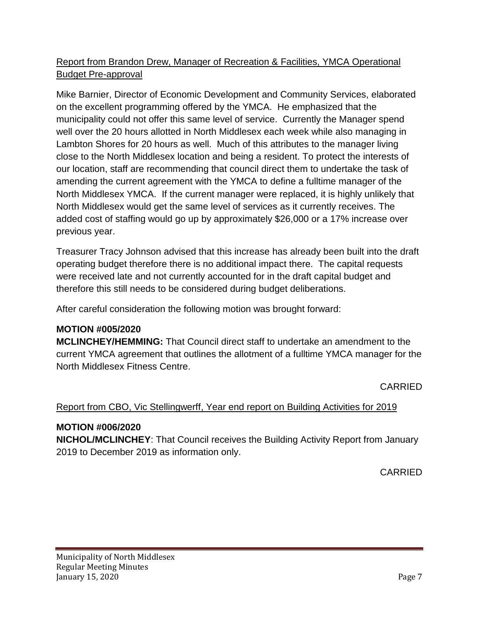# Report from Brandon Drew, Manager of Recreation & Facilities, YMCA Operational Budget Pre-approval

Mike Barnier, Director of Economic Development and Community Services, elaborated on the excellent programming offered by the YMCA. He emphasized that the municipality could not offer this same level of service. Currently the Manager spend well over the 20 hours allotted in North Middlesex each week while also managing in Lambton Shores for 20 hours as well. Much of this attributes to the manager living close to the North Middlesex location and being a resident. To protect the interests of our location, staff are recommending that council direct them to undertake the task of amending the current agreement with the YMCA to define a fulltime manager of the North Middlesex YMCA. If the current manager were replaced, it is highly unlikely that North Middlesex would get the same level of services as it currently receives. The added cost of staffing would go up by approximately \$26,000 or a 17% increase over previous year.

Treasurer Tracy Johnson advised that this increase has already been built into the draft operating budget therefore there is no additional impact there. The capital requests were received late and not currently accounted for in the draft capital budget and therefore this still needs to be considered during budget deliberations.

After careful consideration the following motion was brought forward:

# **MOTION #005/2020**

**MCLINCHEY/HEMMING:** That Council direct staff to undertake an amendment to the current YMCA agreement that outlines the allotment of a fulltime YMCA manager for the North Middlesex Fitness Centre.

CARRIED

# Report from CBO, Vic Stellingwerff, Year end report on Building Activities for 2019

# **MOTION #006/2020**

**NICHOL/MCLINCHEY**: That Council receives the Building Activity Report from January 2019 to December 2019 as information only.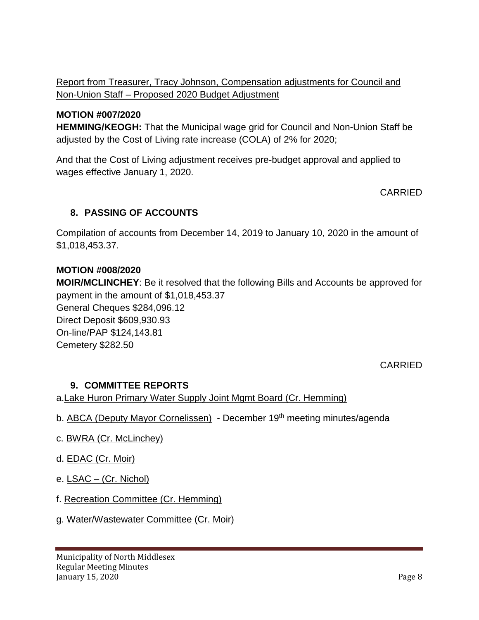Report from Treasurer, Tracy Johnson, Compensation adjustments for Council and Non-Union Staff – Proposed 2020 Budget Adjustment

### **MOTION #007/2020**

**HEMMING/KEOGH:** That the Municipal wage grid for Council and Non-Union Staff be adjusted by the Cost of Living rate increase (COLA) of 2% for 2020;

And that the Cost of Living adjustment receives pre-budget approval and applied to wages effective January 1, 2020.

**CARRIED** 

## **8. PASSING OF ACCOUNTS**

Compilation of accounts from December 14, 2019 to January 10, 2020 in the amount of \$1,018,453.37.

### **MOTION #008/2020**

**MOIR/MCLINCHEY**: Be it resolved that the following Bills and Accounts be approved for payment in the amount of \$1,018,453.37 General Cheques \$284,096.12 Direct Deposit \$609,930.93 On-line/PAP \$124,143.81 Cemetery \$282.50

CARRIED

### **9. COMMITTEE REPORTS**

a.Lake Huron Primary Water Supply Joint Mgmt Board (Cr. Hemming)

- b. ABCA (Deputy Mayor Cornelissen) December 19<sup>th</sup> meeting minutes/agenda
- c. BWRA (Cr. McLinchey)
- d. **EDAC** (Cr. Moir)
- e. LSAC (Cr. Nichol)
- f. Recreation Committee (Cr. Hemming)
- g. Water/Wastewater Committee (Cr. Moir)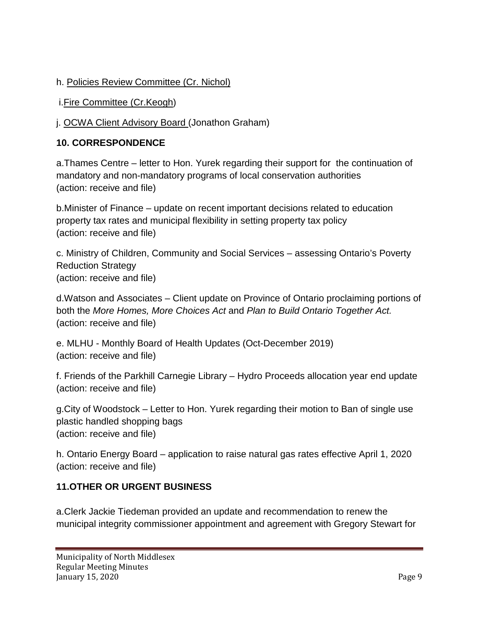# h. Policies Review Committee (Cr. Nichol)

i.Fire Committee (Cr.Keogh)

j. OCWA Client Advisory Board (Jonathon Graham)

# **10. CORRESPONDENCE**

a.Thames Centre – letter to Hon. Yurek regarding their support for the continuation of mandatory and non-mandatory programs of local conservation authorities (action: receive and file)

b.Minister of Finance – update on recent important decisions related to education property tax rates and municipal flexibility in setting property tax policy (action: receive and file)

c. Ministry of Children, Community and Social Services – assessing Ontario's Poverty Reduction Strategy (action: receive and file)

d.Watson and Associates – Client update on Province of Ontario proclaiming portions of both the *More Homes, More Choices Act* and *Plan to Build Ontario Together Act.* (action: receive and file)

e. MLHU - Monthly Board of Health Updates (Oct-December 2019) (action: receive and file)

f. Friends of the Parkhill Carnegie Library – Hydro Proceeds allocation year end update (action: receive and file)

g.City of Woodstock – Letter to Hon. Yurek regarding their motion to Ban of single use plastic handled shopping bags (action: receive and file)

h. Ontario Energy Board – application to raise natural gas rates effective April 1, 2020 (action: receive and file)

# **11.OTHER OR URGENT BUSINESS**

a.Clerk Jackie Tiedeman provided an update and recommendation to renew the municipal integrity commissioner appointment and agreement with Gregory Stewart for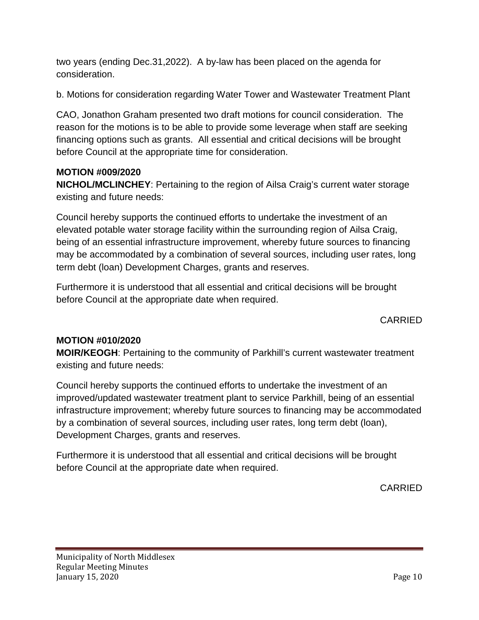two years (ending Dec.31,2022). A by-law has been placed on the agenda for consideration.

b. Motions for consideration regarding Water Tower and Wastewater Treatment Plant

CAO, Jonathon Graham presented two draft motions for council consideration. The reason for the motions is to be able to provide some leverage when staff are seeking financing options such as grants. All essential and critical decisions will be brought before Council at the appropriate time for consideration.

## **MOTION #009/2020**

**NICHOL/MCLINCHEY**: Pertaining to the region of Ailsa Craig's current water storage existing and future needs:

Council hereby supports the continued efforts to undertake the investment of an elevated potable water storage facility within the surrounding region of Ailsa Craig, being of an essential infrastructure improvement, whereby future sources to financing may be accommodated by a combination of several sources, including user rates, long term debt (loan) Development Charges, grants and reserves.

Furthermore it is understood that all essential and critical decisions will be brought before Council at the appropriate date when required.

# CARRIED

# **MOTION #010/2020**

**MOIR/KEOGH**: Pertaining to the community of Parkhill's current wastewater treatment existing and future needs:

Council hereby supports the continued efforts to undertake the investment of an improved/updated wastewater treatment plant to service Parkhill, being of an essential infrastructure improvement; whereby future sources to financing may be accommodated by a combination of several sources, including user rates, long term debt (loan), Development Charges, grants and reserves.

Furthermore it is understood that all essential and critical decisions will be brought before Council at the appropriate date when required.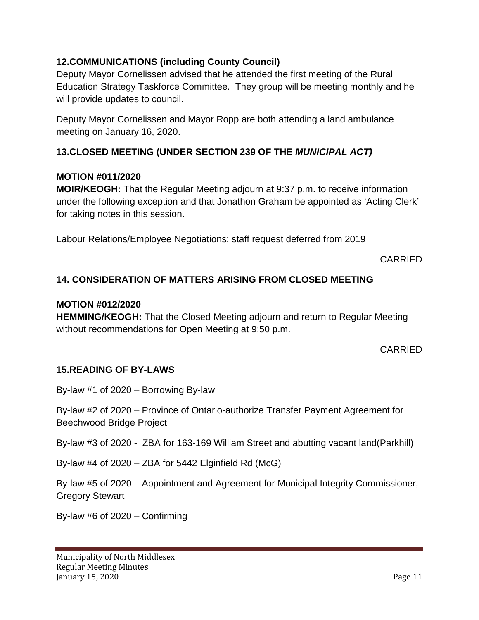## **12.COMMUNICATIONS (including County Council)**

Deputy Mayor Cornelissen advised that he attended the first meeting of the Rural Education Strategy Taskforce Committee. They group will be meeting monthly and he will provide updates to council.

Deputy Mayor Cornelissen and Mayor Ropp are both attending a land ambulance meeting on January 16, 2020.

# **13.CLOSED MEETING (UNDER SECTION 239 OF THE** *MUNICIPAL ACT)*

### **MOTION #011/2020**

**MOIR/KEOGH:** That the Regular Meeting adjourn at 9:37 p.m. to receive information under the following exception and that Jonathon Graham be appointed as 'Acting Clerk' for taking notes in this session.

Labour Relations/Employee Negotiations: staff request deferred from 2019

CARRIED

# **14. CONSIDERATION OF MATTERS ARISING FROM CLOSED MEETING**

### **MOTION #012/2020**

**HEMMING/KEOGH:** That the Closed Meeting adjourn and return to Regular Meeting without recommendations for Open Meeting at 9:50 p.m.

### CARRIED

### **15.READING OF BY-LAWS**

By-law #1 of 2020 – Borrowing By-law

By-law #2 of 2020 – Province of Ontario-authorize Transfer Payment Agreement for Beechwood Bridge Project

By-law #3 of 2020 - ZBA for 163-169 William Street and abutting vacant land(Parkhill)

By-law  $#4$  of  $2020 - ZBA$  for 5442 Elginfield Rd (McG)

By-law #5 of 2020 – Appointment and Agreement for Municipal Integrity Commissioner, Gregory Stewart

By-law #6 of 2020 – Confirming